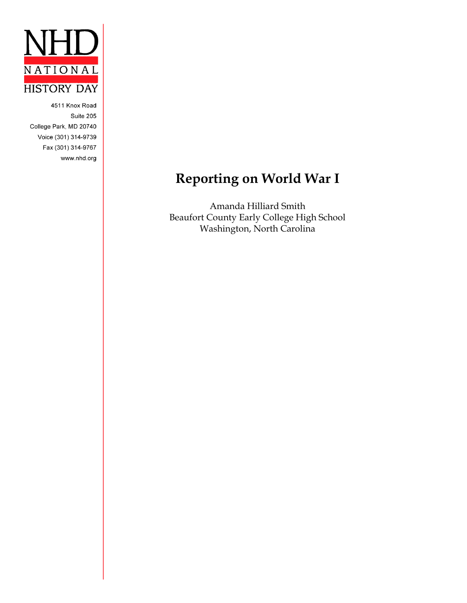

4511 Knox Road Suite 205 College Park, MD 20740 Voice (301) 314-9739 Fax (301) 314-9767 www.nhd.org

# **Reporting on World War I**

Amanda Hilliard Smith Beaufort County Early College High School Washington, North Carolina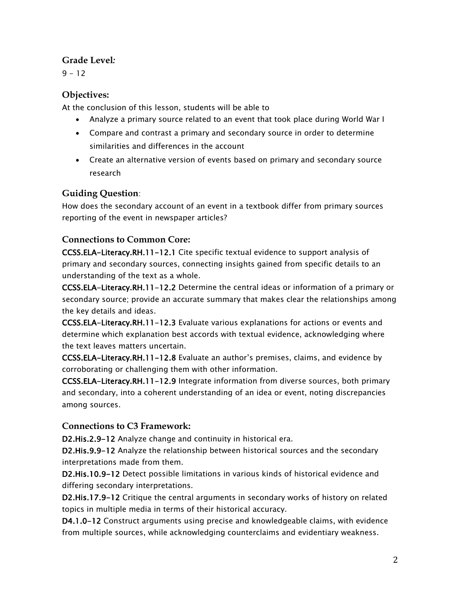# **Grade Level***:*

 $9 - 12$ 

# **Objectives:**

At the conclusion of this lesson, students will be able to

- Analyze a primary source related to an event that took place during World War I
- Compare and contrast a primary and secondary source in order to determine similarities and differences in the account
- Create an alternative version of events based on primary and secondary source research

# **Guiding Question**:

How does the secondary account of an event in a textbook differ from primary sources reporting of the event in newspaper articles?

# **Connections to Common Core:**

CCSS.ELA-Literacy.RH.11-12.1 Cite specific textual evidence to support analysis of primary and secondary sources, connecting insights gained from specific details to an understanding of the text as a whole.

CCSS.ELA-Literacy.RH.11-12.2 Determine the central ideas or information of a primary or secondary source; provide an accurate summary that makes clear the relationships among the key details and ideas.

CCSS.ELA-Literacy.RH.11-12.3 Evaluate various explanations for actions or events and determine which explanation best accords with textual evidence, acknowledging where the text leaves matters uncertain.

CCSS.ELA-Literacy.RH.11-12.8 Evaluate an author's premises, claims, and evidence by corroborating or challenging them with other information.

CCSS.ELA-Literacy.RH.11-12.9 Integrate information from diverse sources, both primary and secondary, into a coherent understanding of an idea or event, noting discrepancies among sources.

# **Connections to C3 Framework:**

D2.His.2.9-12 Analyze change and continuity in historical era.

D2.His.9.9-12 Analyze the relationship between historical sources and the secondary interpretations made from them.

D2.His.10.9-12 Detect possible limitations in various kinds of historical evidence and differing secondary interpretations.

D2.His.17.9-12 Critique the central arguments in secondary works of history on related topics in multiple media in terms of their historical accuracy.

D4.1.0-12 Construct arguments using precise and knowledgeable claims, with evidence from multiple sources, while acknowledging counterclaims and evidentiary weakness.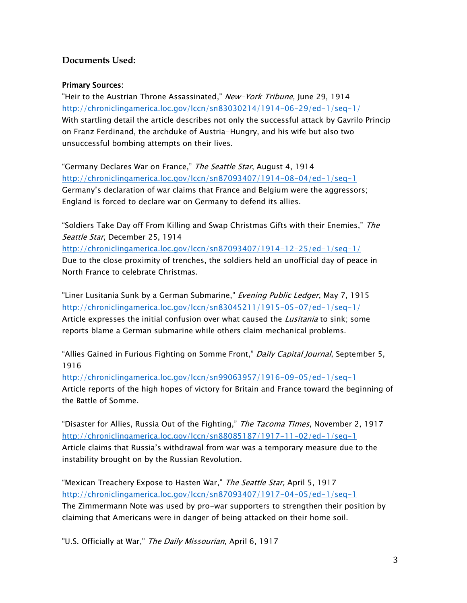### **Documents Used:**

#### Primary Sources:

"Heir to the Austrian Throne Assassinated," *New-York Tribune*, June 29, 1914 <http://chroniclingamerica.loc.gov/lccn/sn83030214/1914-06-29/ed-1/seq-1/> With startling detail the article describes not only the successful attack by Gavrilo Princip on Franz Ferdinand, the archduke of Austria-Hungry, and his wife but also two unsuccessful bombing attempts on their lives.

"Germany Declares War on France," The Seattle Star, August 4, 1914 <http://chroniclingamerica.loc.gov/lccn/sn87093407/1914-08-04/ed-1/seq-1> Germany's declaration of war claims that France and Belgium were the aggressors; England is forced to declare war on Germany to defend its allies.

"Soldiers Take Day off From Killing and Swap Christmas Gifts with their Enemies," The Seattle Star, December 25, 1914 <http://chroniclingamerica.loc.gov/lccn/sn87093407/1914-12-25/ed-1/seq-1/> Due to the close proximity of trenches, the soldiers held an unofficial day of peace in North France to celebrate Christmas.

"Liner Lusitania Sunk by a German Submarine," Evening Public Ledger, May 7, 1915 <http://chroniclingamerica.loc.gov/lccn/sn83045211/1915-05-07/ed-1/seq-1/> Article expresses the initial confusion over what caused the *Lusitania* to sink; some reports blame a German submarine while others claim mechanical problems.

"Allies Gained in Furious Fighting on Somme Front," Daily Capital Journal, September 5, 1916

<http://chroniclingamerica.loc.gov/lccn/sn99063957/1916-09-05/ed-1/seq-1> Article reports of the high hopes of victory for Britain and France toward the beginning of the Battle of Somme.

"Disaster for Allies, Russia Out of the Fighting," *The Tacoma Times*, November 2, 1917 <http://chroniclingamerica.loc.gov/lccn/sn88085187/1917-11-02/ed-1/seq-1> Article claims that Russia's withdrawal from war was a temporary measure due to the instability brought on by the Russian Revolution.

"Mexican Treachery Expose to Hasten War," The Seattle Star, April 5, 1917 <http://chroniclingamerica.loc.gov/lccn/sn87093407/1917-04-05/ed-1/seq-1> The Zimmermann Note was used by pro-war supporters to strengthen their position by claiming that Americans were in danger of being attacked on their home soil.

"U.S. Officially at War," The Daily Missourian, April 6, 1917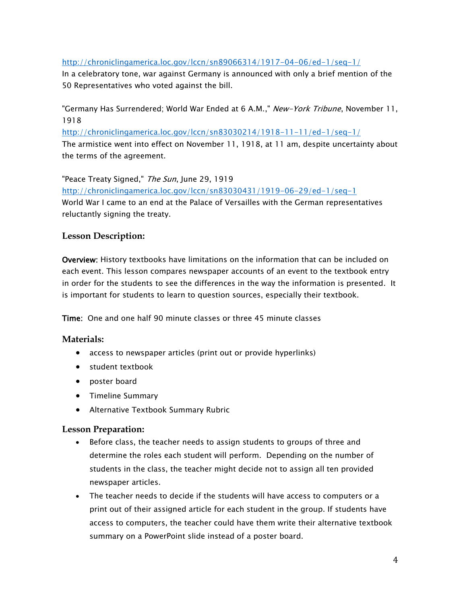#### <http://chroniclingamerica.loc.gov/lccn/sn89066314/1917-04-06/ed-1/seq-1/>

In a celebratory tone, war against Germany is announced with only a brief mention of the 50 Representatives who voted against the bill.

"Germany Has Surrendered; World War Ended at 6 A.M.," *New-York Tribune*, November 11, 1918

<http://chroniclingamerica.loc.gov/lccn/sn83030214/1918-11-11/ed-1/seq-1/> The armistice went into effect on November 11, 1918, at 11 am, despite uncertainty about the terms of the agreement.

"Peace Treaty Signed," The Sun, June 29, 1919 <http://chroniclingamerica.loc.gov/lccn/sn83030431/1919-06-29/ed-1/seq-1> World War I came to an end at the Palace of Versailles with the German representatives reluctantly signing the treaty.

## **Lesson Description:**

Overview: History textbooks have limitations on the information that can be included on each event. This lesson compares newspaper accounts of an event to the textbook entry in order for the students to see the differences in the way the information is presented. It is important for students to learn to question sources, especially their textbook.

Time: One and one half 90 minute classes or three 45 minute classes

## **Materials:**

- access to newspaper articles (print out or provide hyperlinks)
- student textbook
- poster board
- Timeline Summary
- Alternative Textbook Summary Rubric

#### **Lesson Preparation:**

- Before class, the teacher needs to assign students to groups of three and determine the roles each student will perform. Depending on the number of students in the class, the teacher might decide not to assign all ten provided newspaper articles.
- The teacher needs to decide if the students will have access to computers or a print out of their assigned article for each student in the group. If students have access to computers, the teacher could have them write their alternative textbook summary on a PowerPoint slide instead of a poster board.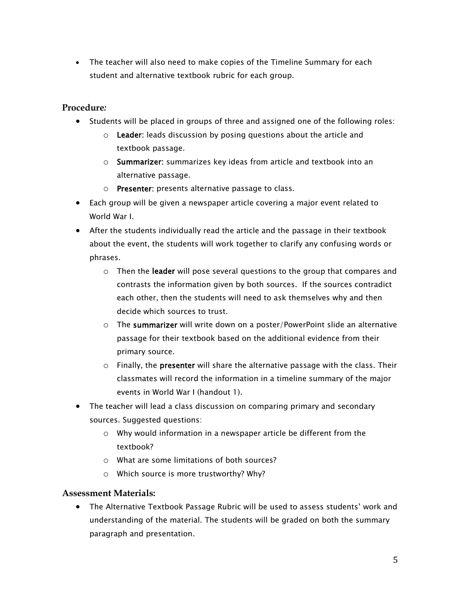The teacher will also need to make copies of the Timeline Summary for each student and alternative textbook rubric for each group.

#### **Procedure***:*

- Students will be placed in groups of three and assigned one of the following roles:
	- $\circ$  Leader: leads discussion by posing questions about the article and textbook passage.
	- o Summarizer: summarizes key ideas from article and textbook into an alternative passage.
	- o Presenter: presents alternative passage to class.
- Each group will be given a newspaper article covering a major event related to World War I.
- After the students individually read the article and the passage in their textbook about the event, the students will work together to clarify any confusing words or phrases.
	- $\circ$  Then the leader will pose several questions to the group that compares and contrasts the information given by both sources. If the sources contradict each other, then the students will need to ask themselves why and then decide which sources to trust.
	- $\circ$  The summarizer will write down on a poster/PowerPoint slide an alternative passage for their textbook based on the additional evidence from their primary source.
	- $\circ$  Finally, the **presenter** will share the alternative passage with the class. Their classmates will record the information in a timeline summary of the major events in World War I (handout 1).
- The teacher will lead a class discussion on comparing primary and secondary sources. Suggested questions:
	- o Why would information in a newspaper article be different from the textbook?
	- o What are some limitations of both sources?
	- o Which source is more trustworthy? Why?

#### **Assessment Materials:**

 The Alternative Textbook Passage Rubric will be used to assess students' work and understanding of the material. The students will be graded on both the summary paragraph and presentation.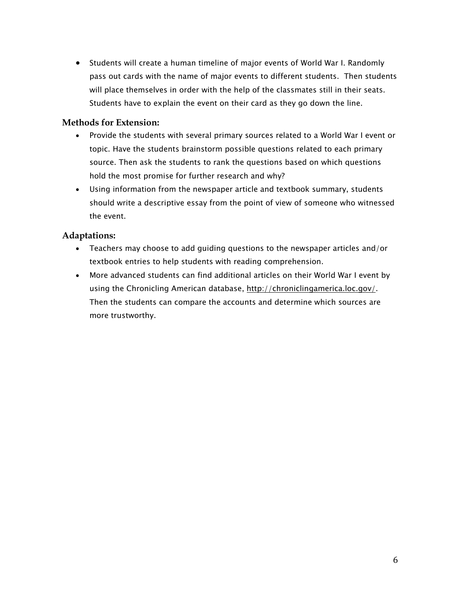Students will create a human timeline of major events of World War I. Randomly pass out cards with the name of major events to different students. Then students will place themselves in order with the help of the classmates still in their seats. Students have to explain the event on their card as they go down the line.

#### **Methods for Extension:**

- Provide the students with several primary sources related to a World War I event or topic. Have the students brainstorm possible questions related to each primary source. Then ask the students to rank the questions based on which questions hold the most promise for further research and why?
- Using information from the newspaper article and textbook summary, students should write a descriptive essay from the point of view of someone who witnessed the event.

#### **Adaptations:**

- Teachers may choose to add guiding questions to the newspaper articles and/or textbook entries to help students with reading comprehension.
- More advanced students can find additional articles on their World War I event by using the Chronicling American database, [http://chroniclingamerica.loc.gov/.](http://chroniclingamerica.loc.gov/) Then the students can compare the accounts and determine which sources are more trustworthy.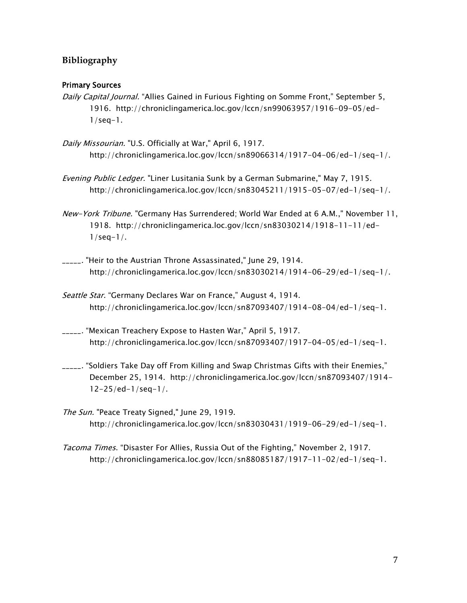# **Bibliography**

#### Primary Sources

- Daily Capital Journal. "Allies Gained in Furious Fighting on Somme Front," September 5, 1916. http://chroniclingamerica.loc.gov/lccn/sn99063957/1916-09-05/ed- $1$ /seq-1.
- Daily Missourian. "U.S. Officially at War," April 6, 1917. http://chroniclingamerica.loc.gov/lccn/sn89066314/1917-04-06/ed-1/seq-1/.
- Evening Public Ledger. "Liner Lusitania Sunk by a German Submarine," May 7, 1915. http://chroniclingamerica.loc.gov/lccn/sn83045211/1915-05-07/ed-1/seq-1/.
- New-York Tribune. "Germany Has Surrendered; World War Ended at 6 A.M.," November 11, 1918. http://chroniclingamerica.loc.gov/lccn/sn83030214/1918-11-11/ed- $1/seq-1/$ .
- \_\_\_\_\_. "Heir to the Austrian Throne Assassinated," June 29, 1914. http://chroniclingamerica.loc.gov/lccn/sn83030214/1914-06-29/ed-1/seq-1/.
- Seattle Star. "Germany Declares War on France," August 4, 1914. http://chroniclingamerica.loc.gov/lccn/sn87093407/1914-08-04/ed-1/seq-1.
- \_\_\_\_\_. "Mexican Treachery Expose to Hasten War," April 5, 1917. http://chroniclingamerica.loc.gov/lccn/sn87093407/1917-04-05/ed-1/seq-1.
- \_\_\_\_\_. "Soldiers Take Day off From Killing and Swap Christmas Gifts with their Enemies," December 25, 1914. http://chroniclingamerica.loc.gov/lccn/sn87093407/1914- 12-25/ed-1/seq-1/.
- The Sun. "Peace Treaty Signed," June 29, 1919. http://chroniclingamerica.loc.gov/lccn/sn83030431/1919-06-29/ed-1/seq-1.
- Tacoma Times. "Disaster For Allies, Russia Out of the Fighting," November 2, 1917. http://chroniclingamerica.loc.gov/lccn/sn88085187/1917-11-02/ed-1/seq-1.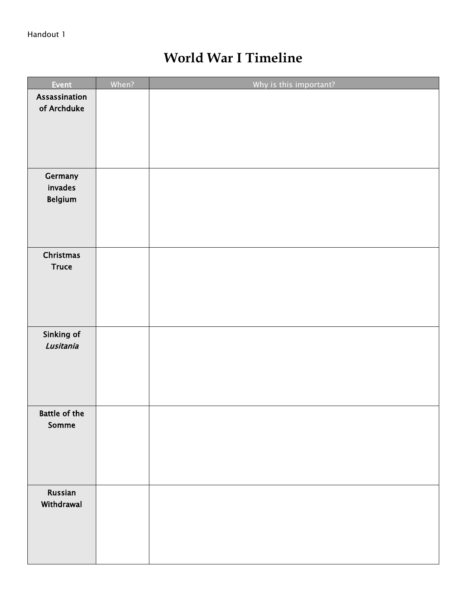# **World War I Timeline**

| Event                | When? | Why is this important? |
|----------------------|-------|------------------------|
| Assassination        |       |                        |
| of Archduke          |       |                        |
|                      |       |                        |
|                      |       |                        |
|                      |       |                        |
| Germany              |       |                        |
| invades<br>Belgium   |       |                        |
|                      |       |                        |
|                      |       |                        |
|                      |       |                        |
| Christmas            |       |                        |
| <b>Truce</b>         |       |                        |
|                      |       |                        |
|                      |       |                        |
|                      |       |                        |
| Sinking of           |       |                        |
| Lusitania            |       |                        |
|                      |       |                        |
|                      |       |                        |
|                      |       |                        |
| <b>Battle of the</b> |       |                        |
| Somme                |       |                        |
|                      |       |                        |
|                      |       |                        |
|                      |       |                        |
| <b>Russian</b>       |       |                        |
| Withdrawal           |       |                        |
|                      |       |                        |
|                      |       |                        |
|                      |       |                        |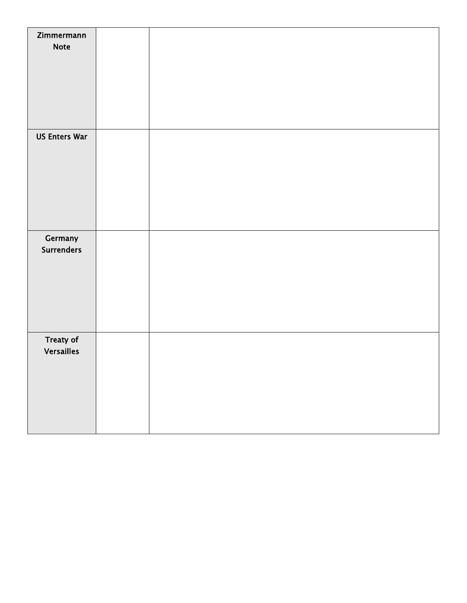| Zimmermann           |  |
|----------------------|--|
| <b>Note</b>          |  |
|                      |  |
|                      |  |
|                      |  |
|                      |  |
|                      |  |
| <b>US Enters War</b> |  |
|                      |  |
|                      |  |
|                      |  |
|                      |  |
|                      |  |
|                      |  |
| Germany              |  |
| <b>Surrenders</b>    |  |
|                      |  |
|                      |  |
|                      |  |
|                      |  |
|                      |  |
| <b>Treaty of</b>     |  |
| <b>Versailles</b>    |  |
|                      |  |
|                      |  |
|                      |  |
|                      |  |
|                      |  |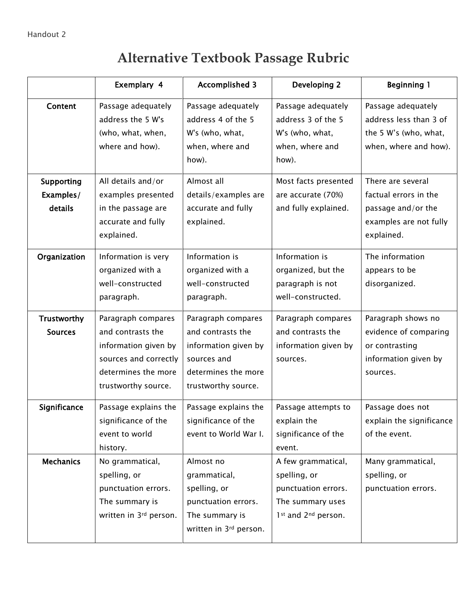# **Alternative Textbook Passage Rubric**

|                                           | Exemplary 4                                                                                                                            | <b>Accomplished 3</b>                                                                                                        | Developing 2                                                                                         | <b>Beginning 1</b>                                                                                       |
|-------------------------------------------|----------------------------------------------------------------------------------------------------------------------------------------|------------------------------------------------------------------------------------------------------------------------------|------------------------------------------------------------------------------------------------------|----------------------------------------------------------------------------------------------------------|
| Content                                   | Passage adequately<br>address the 5 W's<br>(who, what, when,<br>where and how).                                                        | Passage adequately<br>address 4 of the 5<br>W's (who, what,<br>when, where and<br>how).                                      | Passage adequately<br>address 3 of the 5<br>W's (who, what,<br>when, where and<br>how).              | Passage adequately<br>address less than 3 of<br>the 5 W's (who, what,<br>when, where and how).           |
| <b>Supporting</b><br>Examples/<br>details | All details and/or<br>examples presented<br>in the passage are<br>accurate and fully<br>explained.                                     | Almost all<br>details/examples are<br>accurate and fully<br>explained.                                                       | Most facts presented<br>are accurate (70%)<br>and fully explained.                                   | There are several<br>factual errors in the<br>passage and/or the<br>examples are not fully<br>explained. |
| Organization                              | Information is very<br>organized with a<br>well-constructed<br>paragraph.                                                              | Information is<br>organized with a<br>well-constructed<br>paragraph.                                                         | Information is<br>organized, but the<br>paragraph is not<br>well-constructed.                        | The information<br>appears to be<br>disorganized.                                                        |
| Trustworthy<br><b>Sources</b>             | Paragraph compares<br>and contrasts the<br>information given by<br>sources and correctly<br>determines the more<br>trustworthy source. | Paragraph compares<br>and contrasts the<br>information given by<br>sources and<br>determines the more<br>trustworthy source. | Paragraph compares<br>and contrasts the<br>information given by<br>sources.                          | Paragraph shows no<br>evidence of comparing<br>or contrasting<br>information given by<br>sources.        |
| Significance                              | Passage explains the<br>significance of the<br>event to world<br>history.                                                              | Passage explains the<br>significance of the<br>event to World War I.                                                         | Passage attempts to<br>explain the<br>significance of the<br>event.                                  | Passage does not<br>explain the significance<br>of the event.                                            |
| <b>Mechanics</b>                          | No grammatical,<br>spelling, or<br>punctuation errors.<br>The summary is<br>written in 3rd person.                                     | Almost no<br>grammatical,<br>spelling, or<br>punctuation errors.<br>The summary is<br>written in 3rd person.                 | A few grammatical,<br>spelling, or<br>punctuation errors.<br>The summary uses<br>1st and 2nd person. | Many grammatical,<br>spelling, or<br>punctuation errors.                                                 |